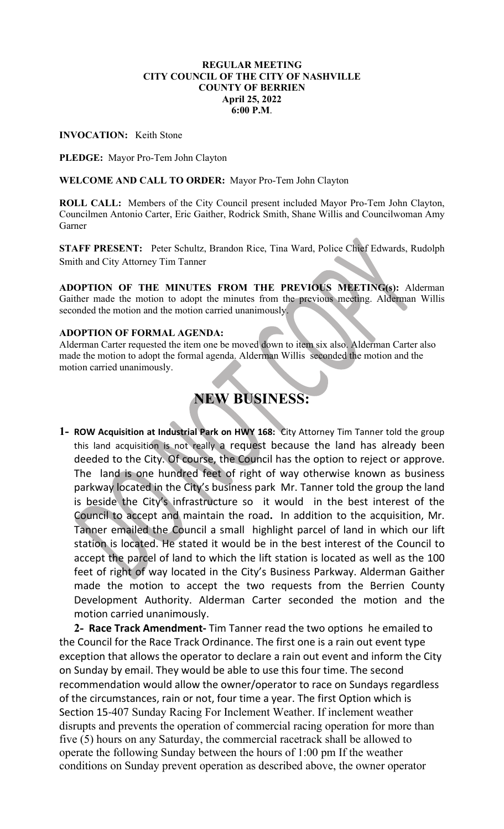### REGULAR MEETING CITY COUNCIL OF THE CITY OF NASHVILLE COUNTY OF BERRIEN April 25, 2022 6:00 P.M.

INVOCATION: Keith Stone

PLEDGE: Mayor Pro-Tem John Clayton

WELCOME AND CALL TO ORDER: Mayor Pro-Tem John Clayton

ROLL CALL: Members of the City Council present included Mayor Pro-Tem John Clayton, Councilmen Antonio Carter, Eric Gaither, Rodrick Smith, Shane Willis and Councilwoman Amy Garner

STAFF PRESENT: Peter Schultz, Brandon Rice, Tina Ward, Police Chief Edwards, Rudolph Smith and City Attorney Tim Tanner

ADOPTION OF THE MINUTES FROM THE PREVIOUS MEETING(s): Alderman Gaither made the motion to adopt the minutes from the previous meeting. Alderman Willis seconded the motion and the motion carried unanimously.

### ADOPTION OF FORMAL AGENDA:

Alderman Carter requested the item one be moved down to item six also. Alderman Carter also made the motion to adopt the formal agenda. Alderman Willis seconded the motion and the motion carried unanimously.

# NEW BUSINESS:

1- ROW Acquisition at Industrial Park on HWY 168: City Attorney Tim Tanner told the group this land acquisition is not really a request because the land has already been deeded to the City. Of course, the Council has the option to reject or approve. The land is one hundred feet of right of way otherwise known as business parkway located in the City's business park Mr. Tanner told the group the land is beside the City's infrastructure so it would in the best interest of the Council to accept and maintain the road. In addition to the acquisition, Mr. Tanner emailed the Council a small highlight parcel of land in which our lift station is located. He stated it would be in the best interest of the Council to accept the parcel of land to which the lift station is located as well as the 100 feet of right of way located in the City's Business Parkway. Alderman Gaither made the motion to accept the two requests from the Berrien County Development Authority. Alderman Carter seconded the motion and the motion carried unanimously.

2- Race Track Amendment- Tim Tanner read the two options he emailed to the Council for the Race Track Ordinance. The first one is a rain out event type exception that allows the operator to declare a rain out event and inform the City on Sunday by email. They would be able to use this four time. The second recommendation would allow the owner/operator to race on Sundays regardless of the circumstances, rain or not, four time a year. The first Option which is Section 15-407 Sunday Racing For Inclement Weather. If inclement weather disrupts and prevents the operation of commercial racing operation for more than five (5) hours on any Saturday, the commercial racetrack shall be allowed to operate the following Sunday between the hours of 1:00 pm If the weather conditions on Sunday prevent operation as described above, the owner operator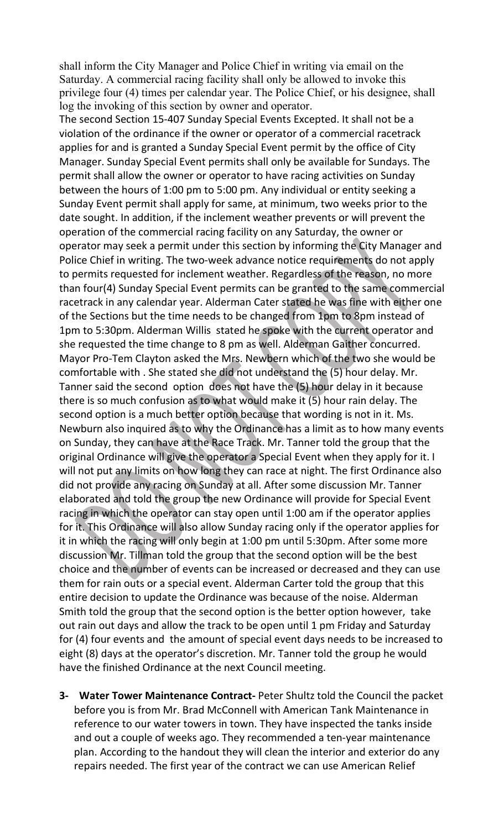shall inform the City Manager and Police Chief in writing via email on the Saturday. A commercial racing facility shall only be allowed to invoke this privilege four (4) times per calendar year. The Police Chief, or his designee, shall log the invoking of this section by owner and operator.

The second Section 15-407 Sunday Special Events Excepted. It shall not be a violation of the ordinance if the owner or operator of a commercial racetrack applies for and is granted a Sunday Special Event permit by the office of City Manager. Sunday Special Event permits shall only be available for Sundays. The permit shall allow the owner or operator to have racing activities on Sunday between the hours of 1:00 pm to 5:00 pm. Any individual or entity seeking a Sunday Event permit shall apply for same, at minimum, two weeks prior to the date sought. In addition, if the inclement weather prevents or will prevent the operation of the commercial racing facility on any Saturday, the owner or operator may seek a permit under this section by informing the City Manager and Police Chief in writing. The two-week advance notice requirements do not apply to permits requested for inclement weather. Regardless of the reason, no more than four(4) Sunday Special Event permits can be granted to the same commercial racetrack in any calendar year. Alderman Cater stated he was fine with either one of the Sections but the time needs to be changed from 1pm to 8pm instead of 1pm to 5:30pm. Alderman Willis stated he spoke with the current operator and she requested the time change to 8 pm as well. Alderman Gaither concurred. Mayor Pro-Tem Clayton asked the Mrs. Newbern which of the two she would be comfortable with . She stated she did not understand the (5) hour delay. Mr. Tanner said the second option does not have the (5) hour delay in it because there is so much confusion as to what would make it  $(5)$  hour rain delay. The second option is a much better option because that wording is not in it. Ms. Newburn also inquired as to why the Ordinance has a limit as to how many events on Sunday, they can have at the Race Track. Mr. Tanner told the group that the original Ordinance will give the operator a Special Event when they apply for it. I will not put any limits on how long they can race at night. The first Ordinance also did not provide any racing on Sunday at all. After some discussion Mr. Tanner elaborated and told the group the new Ordinance will provide for Special Event racing in which the operator can stay open until 1:00 am if the operator applies for it. This Ordinance will also allow Sunday racing only if the operator applies for it in which the racing will only begin at 1:00 pm until 5:30pm. After some more discussion Mr. Tillman told the group that the second option will be the best choice and the number of events can be increased or decreased and they can use them for rain outs or a special event. Alderman Carter told the group that this entire decision to update the Ordinance was because of the noise. Alderman Smith told the group that the second option is the better option however, take out rain out days and allow the track to be open until 1 pm Friday and Saturday for (4) four events and the amount of special event days needs to be increased to eight (8) days at the operator's discretion. Mr. Tanner told the group he would have the finished Ordinance at the next Council meeting.

3- Water Tower Maintenance Contract- Peter Shultz told the Council the packet before you is from Mr. Brad McConnell with American Tank Maintenance in reference to our water towers in town. They have inspected the tanks inside and out a couple of weeks ago. They recommended a ten-year maintenance plan. According to the handout they will clean the interior and exterior do any repairs needed. The first year of the contract we can use American Relief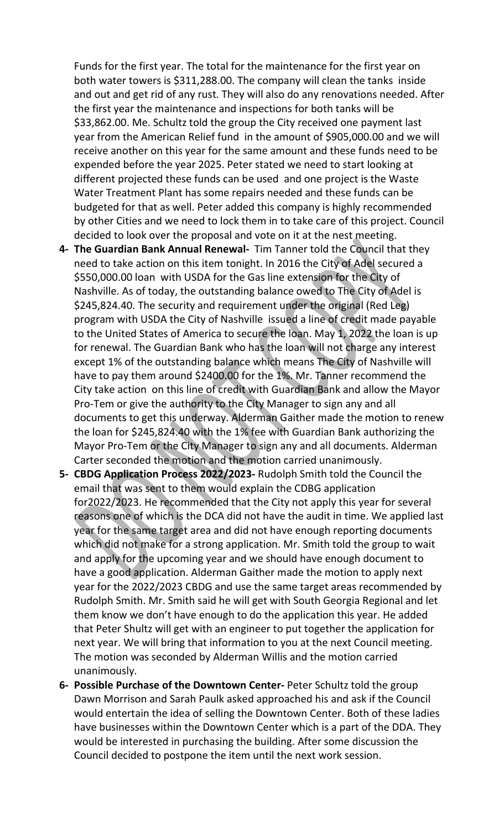Funds for the first year. The total for the maintenance for the first year on both water towers is \$311,288.00. The company will clean the tanks inside and out and get rid of any rust. They will also do any renovations needed. After the first year the maintenance and inspections for both tanks will be \$33,862.00. Me. Schultz told the group the City received one payment last year from the American Relief fund in the amount of \$905,000.00 and we will receive another on this year for the same amount and these funds need to be expended before the year 2025. Peter stated we need to start looking at different projected these funds can be used and one project is the Waste Water Treatment Plant has some repairs needed and these funds can be budgeted for that as well. Peter added this company is highly recommended by other Cities and we need to lock them in to take care of this project. Council decided to look over the proposal and vote on it at the nest meeting.

- 4- The Guardian Bank Annual Renewal- Tim Tanner told the Council that they need to take action on this item tonight. In 2016 the City of Adel secured a \$550,000.00 loan with USDA for the Gas line extension for the City of Nashville. As of today, the outstanding balance owed to The City of Adel is \$245,824.40. The security and requirement under the original (Red Leg) program with USDA the City of Nashville issued a line of credit made payable to the United States of America to secure the loan. May 1, 2022 the loan is up for renewal. The Guardian Bank who has the loan will not charge any interest except 1% of the outstanding balance which means The City of Nashville will have to pay them around \$2400.00 for the 1%. Mr. Tanner recommend the City take action on this line of credit with Guardian Bank and allow the Mayor Pro-Tem or give the authority to the City Manager to sign any and all documents to get this underway. Alderman Gaither made the motion to renew the loan for \$245,824.40 with the 1% fee with Guardian Bank authorizing the Mayor Pro-Tem or the City Manager to sign any and all documents. Alderman Carter seconded the motion and the motion carried unanimously.
- 5- CBDG Application Process 2022/2023- Rudolph Smith told the Council the email that was sent to them would explain the CDBG application for2022/2023. He recommended that the City not apply this year for several reasons one of which is the DCA did not have the audit in time. We applied last year for the same target area and did not have enough reporting documents which did not make for a strong application. Mr. Smith told the group to wait and apply for the upcoming year and we should have enough document to have a good application. Alderman Gaither made the motion to apply next year for the 2022/2023 CBDG and use the same target areas recommended by Rudolph Smith. Mr. Smith said he will get with South Georgia Regional and let them know we don't have enough to do the application this year. He added that Peter Shultz will get with an engineer to put together the application for next year. We will bring that information to you at the next Council meeting. The motion was seconded by Alderman Willis and the motion carried unanimously.
- 6- Possible Purchase of the Downtown Center- Peter Schultz told the group Dawn Morrison and Sarah Paulk asked approached his and ask if the Council would entertain the idea of selling the Downtown Center. Both of these ladies have businesses within the Downtown Center which is a part of the DDA. They would be interested in purchasing the building. After some discussion the Council decided to postpone the item until the next work session.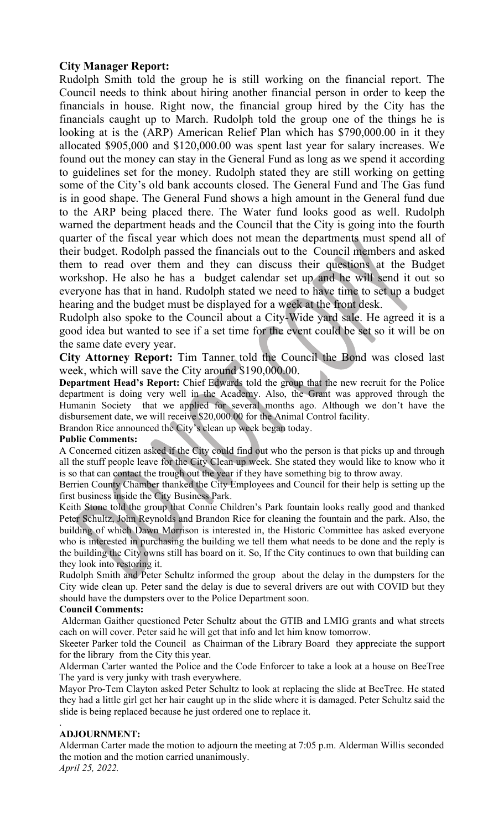## City Manager Report:

Rudolph Smith told the group he is still working on the financial report. The Council needs to think about hiring another financial person in order to keep the financials in house. Right now, the financial group hired by the City has the financials caught up to March. Rudolph told the group one of the things he is looking at is the (ARP) American Relief Plan which has \$790,000.00 in it they allocated \$905,000 and \$120,000.00 was spent last year for salary increases. We found out the money can stay in the General Fund as long as we spend it according to guidelines set for the money. Rudolph stated they are still working on getting some of the City's old bank accounts closed. The General Fund and The Gas fund is in good shape. The General Fund shows a high amount in the General fund due to the ARP being placed there. The Water fund looks good as well. Rudolph warned the department heads and the Council that the City is going into the fourth quarter of the fiscal year which does not mean the departments must spend all of their budget. Rodolph passed the financials out to the Council members and asked them to read over them and they can discuss their questions at the Budget workshop. He also he has a budget calendar set up and he will send it out so everyone has that in hand. Rudolph stated we need to have time to set up a budget hearing and the budget must be displayed for a week at the front desk.

Rudolph also spoke to the Council about a City-Wide yard sale. He agreed it is a good idea but wanted to see if a set time for the event could be set so it will be on the same date every year.

City Attorney Report: Tim Tanner told the Council the Bond was closed last week, which will save the City around \$190,000.00.

Department Head's Report: Chief Edwards told the group that the new recruit for the Police department is doing very well in the Academy. Also, the Grant was approved through the Humanin Society that we applied for several months ago. Although we don't have the disbursement date, we will receive \$20,000.00 for the Animal Control facility.

Brandon Rice announced the City's clean up week began today.

### Public Comments:

A Concerned citizen asked if the City could find out who the person is that picks up and through all the stuff people leave for the City Clean up week. She stated they would like to know who it is so that can contact the trough out the year if they have something big to throw away.

Berrien County Chamber thanked the City Employees and Council for their help is setting up the first business inside the City Business Park.

Keith Stone told the group that Connie Children's Park fountain looks really good and thanked Peter Schultz, John Reynolds and Brandon Rice for cleaning the fountain and the park. Also, the building of which Dawn Morrison is interested in, the Historic Committee has asked everyone who is interested in purchasing the building we tell them what needs to be done and the reply is the building the City owns still has board on it. So, If the City continues to own that building can they look into restoring it.

Rudolph Smith and Peter Schultz informed the group about the delay in the dumpsters for the City wide clean up. Peter sand the delay is due to several drivers are out with COVID but they should have the dumpsters over to the Police Department soon.

### Council Comments:

 Alderman Gaither questioned Peter Schultz about the GTIB and LMIG grants and what streets each on will cover. Peter said he will get that info and let him know tomorrow.

Skeeter Parker told the Council as Chairman of the Library Board they appreciate the support for the library from the City this year.

Alderman Carter wanted the Police and the Code Enforcer to take a look at a house on BeeTree The yard is very junky with trash everywhere.

Mayor Pro-Tem Clayton asked Peter Schultz to look at replacing the slide at BeeTree. He stated they had a little girl get her hair caught up in the slide where it is damaged. Peter Schultz said the slide is being replaced because he just ordered one to replace it.

### . ADJOURNMENT:

Alderman Carter made the motion to adjourn the meeting at 7:05 p.m. Alderman Willis seconded the motion and the motion carried unanimously.

April 25, 2022.